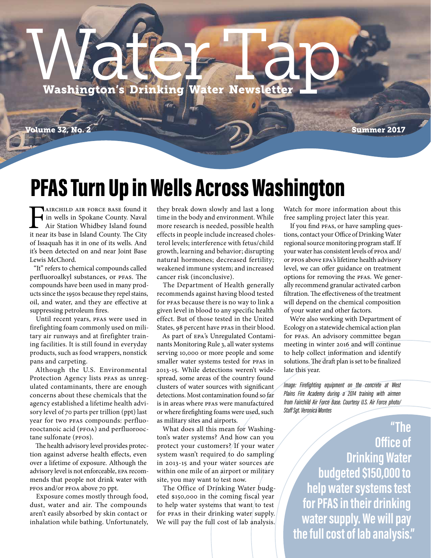# Washington's Drinking Water Newsletter

Volume 32, No. 2 Summer 2017

#### PFAS Turn Up in Wells Across Washington

**FAIRCHILD AIR FORCE BASE found it in wells in Spokane County. Naval Air Station Whidbey Island found it near its base in Island County. The City** in wells in Spokane County. Naval Air Station Whidbey Island found it near its base in Island County. The City of Issaquah has it in one of its wells. And it's been detected on and near Joint Base Lewis McChord.

"It" refers to chemical compounds called perfluoroalkyl substances, or PFAS. The compounds have been used in many products since the 1950s because they repel stains, oil, and water, and they are effective at suppressing petroleum fires.

Until recent years, PFAS were used in firefighting foam commonly used on military air runways and at firefighter training facilities. It is still found in everyday products, such as food wrappers, nonstick pans and carpeting.

Although the U.S. Environmental Protection Agency lists PFAS as unregulated contaminants, there are enough concerns about these chemicals that the agency established a lifetime health advisory level of 70 parts per trillion (ppt) last year for two PFAS compounds: perfluorooctanoic acid (PFOA) and perfluorooctane sulfonate (PFOS).

The health advisory level provides protection against adverse health effects, even over a lifetime of exposure. Although the advisory level is not enforceable, EPA recommends that people not drink water with PFOS and/or PFOA above 70 ppt.

Exposure comes mostly through food, dust, water and air. The compounds aren't easily absorbed by skin contact or inhalation while bathing. Unfortunately, they break down slowly and last a long time in the body and environment. While more research is needed, possible health effects in people include increased cholesterol levels; interference with fetus/child growth, learning and behavior; disrupting natural hormones; decreased fertility; weakened immune system; and increased cancer risk (inconclusive).

The Department of Health generally recommends against having blood tested for PFAS because there is no way to link a given level in blood to any specific health effect. But of those tested in the United States, 98 percent have PFAS in their blood.

As part of EPA's Unregulated Contaminants Monitoring Rule 3, all water systems serving 10,000 or more people and some smaller water systems tested for PFAS in 2013-15. While detections weren't widespread, some areas of the country found clusters of water sources with significant detections. Most contamination found so far is in areas where PFAS were manufactured or where firefighting foams were used, such as military sites and airports.

What does all this mean for Washington's water systems? And how can you protect your customers? If your water system wasn't required to do sampling in 2013-15 and your water sources are within one mile of an airport or military site, you may want to test now.

The Office of Drinking Water budgeted \$150,000 in the coming fiscal year to help water systems that want to test for PFAS in their drinking water supply. We will pay the full cost of lab analysis.

Watch for more information about this free sampling project later this year.

If you find PFAS, or have sampling questions, contact your Office of Drinking Water regional source monitoring program staff. If your water has consistent levels of PFOA and/ or PFOS above EPA's lifetime health advisory level, we can offer guidance on treatment options for removing the PFAS. We generally recommend granular activated carbon filtration. The effectiveness of the treatment will depend on the chemical composition of your water and other factors.

We're also working with Department of Ecology on a statewide chemical action plan for PFAS. An advisory committee began meeting in winter 2016 and will continue to help collect information and identify solutions. The draft plan is set to be finalized late this year.

*Image: Firefighting equipment on the concrete at West Plains Fire Academy during a 2014 training with airmen from Fairchild Air Force Base. Courtesy U.S. Air Force photo/ Staff Sgt. Veronica Montes*

**"The Office of Drinking Water budgeted \$150,000 to help water systems test for PFAS in their drinking water supply. We will pay the full cost of lab analysis."**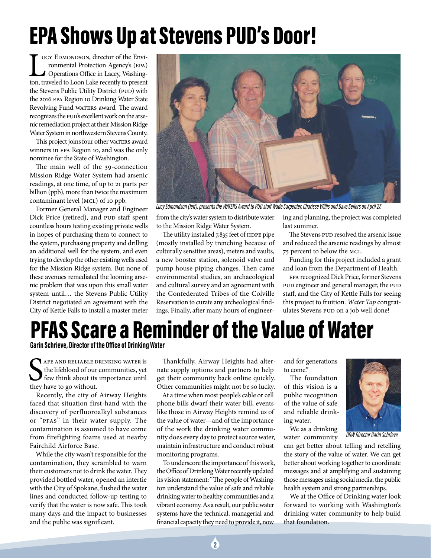## EPA Shows Up at Stevens PUD's Door!

LE UCY EDMONDSON, director of the Environmental Protection Agency's (EPA)<br>
Operations Office in Lacey, Washington, traveled to Loon Lake recently to present ucy EDMONDSON, director of the Environmental Protection Agency's (EPA) Operations Office in Lacey, Washingthe Stevens Public Utility District (PUD) with the 2016 EPA Region 10 Drinking Water State Revolving Fund WATERS award. The award recognizes the PUD's excellent work on the arsenic remediation project at their Mission Ridge Water System in northwestern Stevens County.

This project joins four other WATERS award winners in EPA Region 10, and was the only nominee for the State of Washington.

The main well of the 39-connection Mission Ridge Water System had arsenic readings, at one time, of up to 21 parts per billion (ppb), more than twice the maximum contaminant level (MCL) of 10 ppb.

Former General Manager and Engineer Dick Price (retired), and PUD staff spent countless hours testing existing private wells in hopes of purchasing them to connect to the system, purchasing property and drilling an additional well for the system, and even trying to develop the other existing wells used for the Mission Ridge system. But none of these avenues remediated the looming arsenic problem that was upon this small water system until… the Stevens Public Utility District negotiated an agreement with the City of Kettle Falls to install a master meter



*Lucy Edmondson (left), presents the WATERS Award to PUD staff Wade Carpenter, Charisse Willis and Dave Sellers on April 27.*

from the city's water system to distribute water to the Mission Ridge Water System.

The utility installed 7,835 feet of HDPE pipe (mostly installed by trenching because of culturally sensitive areas), meters and vaults, a new booster station, solenoid valve and pump house piping changes. Then came environmental studies, an archaeological and cultural survey and an agreement with the Confederated Tribes of the Colville Reservation to curate any archeological findings. Finally, after many hours of engineer-

ing and planning, the project was completed last summer.

The Stevens PUD resolved the arsenic issue and reduced the arsenic readings by almost 75 percent to below the MCL.

Funding for this project included a grant and loan from the Department of Health.

EPA recognized Dick Price, former Stevens PUD engineer and general manager, the PUD staff, and the City of Kettle Falls for seeing this project to fruition. *Water Tap* congratulates Stevens PUD on a job well done!

#### PFAS Scare a Reminder of the Value of Water

**Garin Schrieve, Director of the Office of Drinking Water**

SAFE AND RELIABLE D<br>the lifeblood of our<br>few think about its<br>they have to go without. afe and reliable drinking water is the lifeblood of our communities, yet few think about its importance until

Recently, the city of Airway Heights faced that situation first-hand with the discovery of perfluoroalkyl substances or "PFAS" in their water supply. The contamination is assumed to have come from firefighting foams used at nearby Fairchild Airforce Base.

While the city wasn't responsible for the contamination, they scrambled to warn their customers not to drink the water. They provided bottled water, opened an intertie with the City of Spokane, flushed the water lines and conducted follow-up testing to verify that the water is now safe. This took many days and the impact to businesses and the public was significant.

Thankfully, Airway Heights had alternate supply options and partners to help get their community back online quickly. Other communities might not be so lucky.

At a time when most people's cable or cell phone bills dwarf their water bill, events like those in Airway Heights remind us of the value of water—and of the importance of the work the drinking water community does every day to protect source water, maintain infrastructure and conduct robust monitoring programs.

To underscore the importance of this work, the Office of Drinking Water recently updated its vision statement: "The people of Washington understand the value of safe and reliable drinking water to healthy communities and a vibrant economy. As a result, our public water systems have the technical, managerial and financial capacity they need to provide it, now

and for generations to come."

The foundation of this vision is a public recognition of the value of safe and reliable drinking water.

We as a drinking water community



*ODW Director Garin Schrieve*

can get better about telling and retelling the story of the value of water. We can get better about working together to coordinate messages and at amplifying and sustaining those messages using social media, the public health system and strong partnerships.

We at the Office of Drinking water look forward to working with Washington's drinking water community to help build that foundation.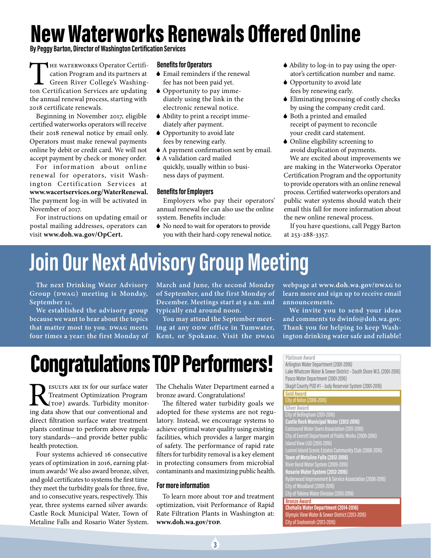# New Waterworks Renewals Offered Online

**By Peggy Barton, Director of Washington Certification Services**

THE WATERWORKS Operator Certification Program and its partners at Green River College's Washington Certification Services are updating the annual renewal process, starting with 2018 certificate renewals.

Beginning in November 2017, eligible certified waterworks operators will receive their 2018 renewal notice by email only. Operators must make renewal payments online by debit or credit card. We will not accept payment by check or money order.

For information about online renewal for operators, visit Washington Certification Services at **www.wacertservices.org/WaterRenewal.** The payment log-in will be activated in November of 2017.

For instructions on updating email or postal mailing addresses, operators can visit **www.doh.wa.gov/OpCert.**

#### **Benefits for Operators**

- 6 Email reminders if the renewal fee has not been paid yet.
- 6 Opportunity to pay immediately using the link in the electronic renewal notice.
- 6 Ability to print a receipt immediately after payment.
- 6 Opportunity to avoid late fees by renewing early.
- 6 A payment confirmation sent by email.
- 6 A validation card mailed quickly, usually within 10 business days of payment.

#### **Benefits for Employers**

Employers who pay their operators' annual renewal fee can also use the online system. Benefits include:

6 No need to wait for operators to provide you with their hard-copy renewal notice.

- 6 Ability to log-in to pay using the operator's certification number and name.
- 6 Opportunity to avoid late fees by renewing early.
- 6 Eliminating processing of costly checks by using the company credit card.
- 6 Both a printed and emailed receipt of payment to reconcile your credit card statement.
- 6 Online eligibility screening to avoid duplication of payments.

We are excited about improvements we are making in the Waterworks Operator Certification Program and the opportunity to provide operators with an online renewal process. Certified waterworks operators and public water systems should watch their email this fall for more information about the new online renewal process.

If you have questions, call Peggy Barton at 253-288-3357.

### **Join Our Next Advisory Group Meeting**

**The next Drinking Water Advisory Group (DWAG) meeting is Monday, September 11.** 

**We established the advisory group because we want to hear about the topics that matter most to you. DWAG meets four times a year: the first Monday of** 

**March and June, the second Monday of September, and the first Monday of December. Meetings start at 9 a.m. and typically end around noon.** 

**You may attend the September meeting at any ODW office in Tumwater, Kent, or Spokane. Visit the DWAG**

**webpage at www.doh.wa.gov/DWAG to learn more and sign up to receive email announcements.**

**We invite you to send your ideas and comments to dwinfo@doh.wa.gov. Thank you for helping to keep Washington drinking water safe and reliable!**

## Congratulations TOP Performers!

**RESULTS ARE IN for our surface water**<br>Treatment Optimization Program<br>ing data show that our conventional and Treatment Optimization Program (TOP) awards. Turbidity monitoring data show that our conventional and direct filtration surface water treatment plants continue to perform above regulatory standards—and provide better public health protection.

Four systems achieved 16 consecutive years of optimization in 2016, earning platinum awards! We also award bronze, silver, and gold certificates to systems the first time they meet the turbidity goals for three, five, and 10 consecutive years, respectively. This year, three systems earned silver awards: Castle Rock Municipal Water, Town of Metaline Falls and Rosario Water System.

The Chehalis Water Department earned a bronze award. Congratulations!

The filtered water turbidity goals we adopted for these systems are not regulatory. Instead, we encourage systems to achieve optimal water quality using existing facilities, which provides a larger margin of safety. The performance of rapid rate filters for turbidity removal is a key element in protecting consumers from microbial contaminants and maximizing public health.

#### **For more information**

To learn more about TOP and treatment optimization, visit Performance of Rapid Rate Filtration Plants in Washington at: **www.doh.wa.gov/TOP.**

**Platinum Award**

Arlington Water Department (2001-2016) Lake Whatcom Water & Sewer District – South Shore W.S. (2001-2016) Pasco Water Department (2001-2016) Skagit County PUD #1 – Judy Reservoir System (2001-2016) **Gold Award** City of Kelso (2006-2016) **Silver Award**

City of Bellingham (2011-2016) **Castle Rock Municipal Water (2012-2016)** City of Everett Department of Public Works (2009-2016) Lummi Island Scenic Estates Community Club (2008-2016) **Town of Metaline Falls (2012-2016)** River Bend Water System (2009-2016) **Rosario Water System (2012-2016)** Ryderwood Improvement & Service Association (2008-2016) City of Woodland (2009-2016) City of Yakima Water Division (2010-2016) **Bronze Award Chehalis Water Department (2014-2016)** Olympic View Water & Sewer District (2013-2016) City of Snohomish (2013-2016)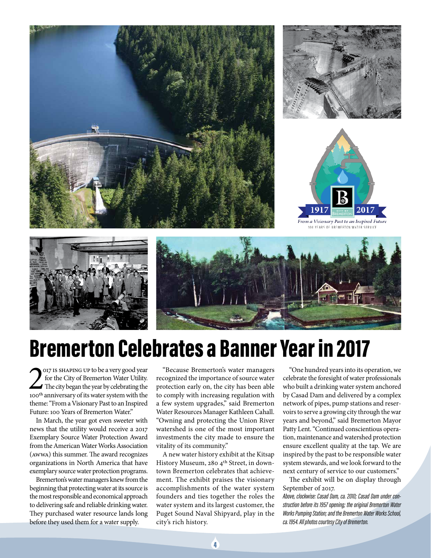











#### Bremerton Celebrates a Banner Year in 2017

OUT IS SHAPING UP to be a very good year<br>for the City of Bremerton Water Utility.<br>The city began the year by celebrating the<br>100<sup>th</sup> anniversary of its water system with the 017 is shaping up to be a very good year for the City of Bremerton Water Utility. The city began the year by celebrating the theme: "From a Visionary Past to an Inspired Future: 100 Years of Bremerton Water."

In March, the year got even sweeter with news that the utility would receive a 2017 Exemplary Source Water Protection Award from the American Water Works Association (AWWA) this summer. The award recognizes organizations in North America that have exemplary source water protection programs.

Bremerton's water managers knew from the beginning that protecting water at its source is the most responsible and economical approach to delivering safe and reliable drinking water. They purchased water resource lands long before they used them for a water supply.

"Because Bremerton's water managers recognized the importance of source water protection early on, the city has been able to comply with increasing regulation with a few system upgrades," said Bremerton Water Resources Manager Kathleen Cahall. "Owning and protecting the Union River watershed is one of the most important investments the city made to ensure the vitality of its community."

A new water history exhibit at the Kitsap History Museum, 280 4<sup>th</sup> Street, in downtown Bremerton celebrates that achievement. The exhibit praises the visionary accomplishments of the water system founders and ties together the roles the water system and its largest customer, the Puget Sound Naval Shipyard, play in the city's rich history.

"One hundred years into its operation, we celebrate the foresight of water professionals who built a drinking water system anchored by Casad Dam and delivered by a complex network of pipes, pump stations and reservoirs to serve a growing city through the war years and beyond," said Bremerton Mayor Patty Lent. "Continued conscientious operation, maintenance and watershed protection ensure excellent quality at the tap. We are inspired by the past to be responsible water system stewards, and we look forward to the next century of service to our customers."

The exhibit will be on display through September of 2017.

*Above, clockwise: Casad Dam, ca. 2010; Casad Dam under construction before its 1957 opening; the original Bremerton Water Works Pumping Station; and the Bremerton Water Works School, ca. 1954. All photos courtesy City of Bremerton.*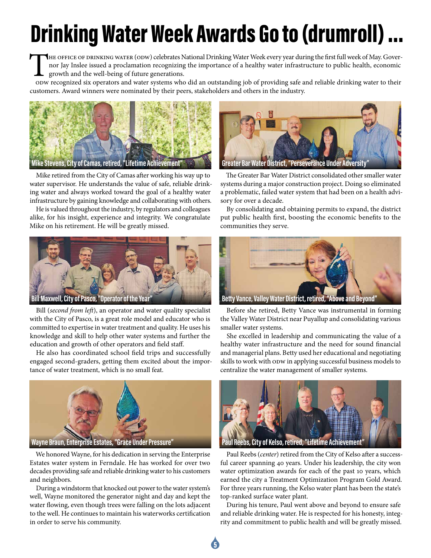# Drinking Water Week Awards Go to (drumroll) …

THE OFFICE OF DRINKING WATER (ODW) celebrates National Drinking Water Week every year during the first full week of May. Gover-<br>nor Jay Inslee issued a proclamation recognizing the importance of a healthy water infrastruct nor Jay Inslee issued a proclamation recognizing the importance of a healthy water infrastructure to public health, economic growth and the well-being of future generations.

ODW recognized six operators and water systems who did an outstanding job of providing safe and reliable drinking water to their customers. Award winners were nominated by their peers, stakeholders and others in the industry.



Mike retired from the City of Camas after working his way up to water supervisor. He understands the value of safe, reliable drinking water and always worked toward the goal of a healthy water infrastructure by gaining knowledge and collaborating with others.

He is valued throughout the industry, by regulators and colleagues alike, for his insight, experience and integrity. We congratulate Mike on his retirement. He will be greatly missed.



Bill (*second from left*), an operator and water quality specialist with the City of Pasco, is a great role model and educator who is committed to expertise in water treatment and quality. He uses his knowledge and skill to help other water systems and further the education and growth of other operators and field staff.

He also has coordinated school field trips and successfully engaged second-graders, getting them excited about the importance of water treatment, which is no small feat.



We honored Wayne, for his dedication in serving the Enterprise Estates water system in Ferndale. He has worked for over two decades providing safe and reliable drinking water to his customers and neighbors.

During a windstorm that knocked out power to the water system's well, Wayne monitored the generator night and day and kept the water flowing, even though trees were falling on the lots adjacent to the well. He continues to maintain his waterworks certification in order to serve his community.



The Greater Bar Water District consolidated other smaller water systems during a major construction project. Doing so eliminated a problematic, failed water system that had been on a health advisory for over a decade.

By consolidating and obtaining permits to expand, the district put public health first, boosting the economic benefits to the communities they serve.



Before she retired, Betty Vance was instrumental in forming the Valley Water District near Puyallup and consolidating various smaller water systems.

She excelled in leadership and communicating the value of a healthy water infrastructure and the need for sound financial and managerial plans. Betty used her educational and negotiating skills to work with ODW in applying successful business models to centralize the water management of smaller systems.



Paul Reebs (*center*) retired from the City of Kelso after a successful career spanning 40 years. Under his leadership, the city won water optimization awards for each of the past 10 years, which earned the city a Treatment Optimization Program Gold Award. For three years running, the Kelso water plant has been the state's top-ranked surface water plant.

During his tenure, Paul went above and beyond to ensure safe and reliable drinking water. He is respected for his honesty, integrity and commitment to public health and will be greatly missed.